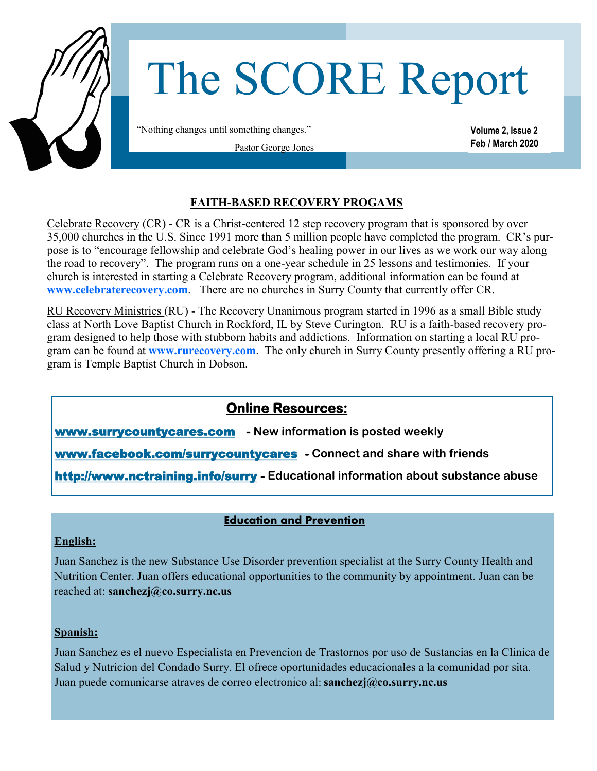

#### **FAITH-BASED RECOVERY PROGAMS**

Celebrate Recovery (CR) - CR is a Christ-centered 12 step recovery program that is sponsored by over 35,000 churches in the U.S. Since 1991 more than 5 million people have completed the program. CR's purpose is to "encourage fellowship and celebrate God's healing power in our lives as we work our way along the road to recovery". The program runs on a one-year schedule in 25 lessons and testimonies. If your church is interested in starting a Celebrate Recovery program, additional information can be found at **www.celebraterecovery.com**. There are no churches in Surry County that currently offer CR.

RU Recovery Ministries (RU) - The Recovery Unanimous program started in 1996 as a small Bible study class at North Love Baptist Church in Rockford, IL by Steve Curington. RU is a faith-based recovery program designed to help those with stubborn habits and addictions. Information on starting a local RU program can be found at **www.rurecovery.com**. The only church in Surry County presently offering a RU program is Temple Baptist Church in Dobson.

# **Online Resources:**

www.surrycountycares.com **- New information is posted weekly**

www.facebook.com/surrycountycares **- Connect and share with friends**

[http://www.nctraining.info/surry](https://linkprotect.cudasvc.com/url?a=http%3a%2f%2fwww.nctraining.info%2fsurry&c=E,1,VLoNfOUxgsEzTfqQkqsJKqKBbJqcDekGmRH0zLrTGZw_WSOD1_t8vo4qbeIaf9I4pxba-C3DaZND4M3xN75d8DU8NbwaXuYE1i1KtZbsSACRQtFz&typo=0) **- Educational information about substance abuse**

## **Education and Prevention**

## **English:**

Juan Sanchez is the new Substance Use Disorder prevention specialist at the Surry County Health and Nutrition Center. Juan offers educational opportunities to the community by appointment. Juan can be reached at: **sanchezj@co.surry.nc.us** 

#### **Spanish:**

Juan Sanchez es el nuevo Especialista en Prevencion de Trastornos por uso de Sustancias en la Clinica de Salud y Nutricion del Condado Surry. El ofrece oportunidades educacionales a la comunidad por sita. Juan puede comunicarse atraves de correo electronico al: **sanchezj@co.surry.nc.us**